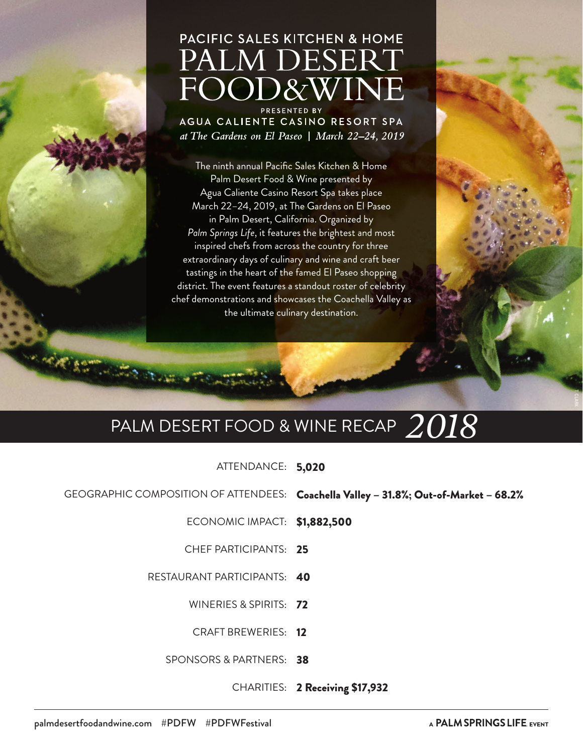# PACIFIC SALES KITCHEN & HOME PALM DESERT FOOD&WINE

PRESENTED BY AGUA CALIENTE CASINO RESORT SPA at The Gardens on El Paseo | March 22-24, 2019

The ninth annual Pacific Sales Kitchen & Home Palm Desert Food & Wine presented by Agua Caliente Casino Resort Spa takes place March 22–24, 2019, at The Gardens on El Paseo in Palm Desert, California. Organized by *Palm Springs Life*, it features the brightest and most inspired chefs from across the country for three extraordinary days of culinary and wine and craft beer tastings in the heart of the famed El Paseo shopping district. The event features a standout roster of celebrity chef demonstrations and showcases the Coachella Valley as the ultimate culinary destination.

# PALM DESERT FOOD & WINE RECAP *2018*

ATTENDANCE: 5,020

GEOGRAPHIC COMPOSITION OF ATTENDEES: Coachella Valley – 31.8%; Out-of-Market – 68.2%

ECONOMIC IMPACT: \$1,882,500

CHEF PARTICIPANTS: 25

RESTAURANT PARTICIPANTS: 40

WINERIES & SPIRITS: 72

CRAFT BREWERIES: 12

SPONSORS & PARTNERS: 38

CHARITIES: 2 Receiving \$17,932

**WANDERS** 

T. CLARK